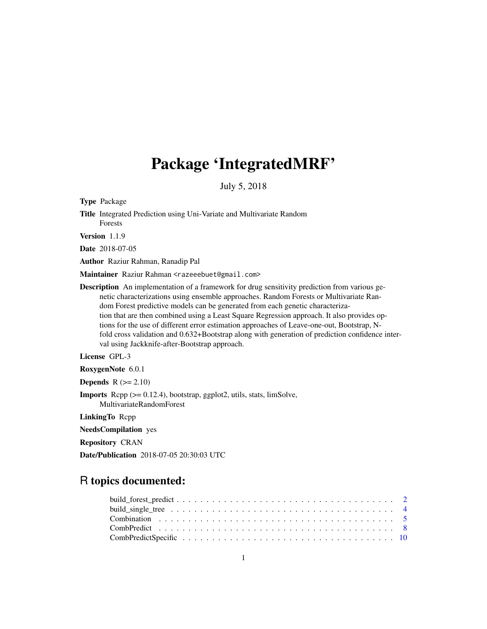# Package 'IntegratedMRF'

July 5, 2018

Title Integrated Prediction using Uni-Variate and Multivariate Random Forests Version 1.1.9 Date 2018-07-05 Author Raziur Rahman, Ranadip Pal Maintainer Raziur Rahman <razeeebuet@gmail.com> **Description** An implementation of a framework for drug sensitivity prediction from various genetic characterizations using ensemble approaches. Random Forests or Multivariate Random Forest predictive models can be generated from each genetic characterization that are then combined using a Least Square Regression approach. It also provides options for the use of different error estimation approaches of Leave-one-out, Bootstrap, Nfold cross validation and 0.632+Bootstrap along with generation of prediction confidence interval using Jackknife-after-Bootstrap approach. License GPL-3 RoxygenNote 6.0.1 **Depends**  $R$  ( $>= 2.10$ ) Imports Rcpp (>= 0.12.4), bootstrap, ggplot2, utils, stats, limSolve, MultivariateRandomForest LinkingTo Rcpp NeedsCompilation yes Repository CRAN Date/Publication 2018-07-05 20:30:03 UTC

# R topics documented:

Type Package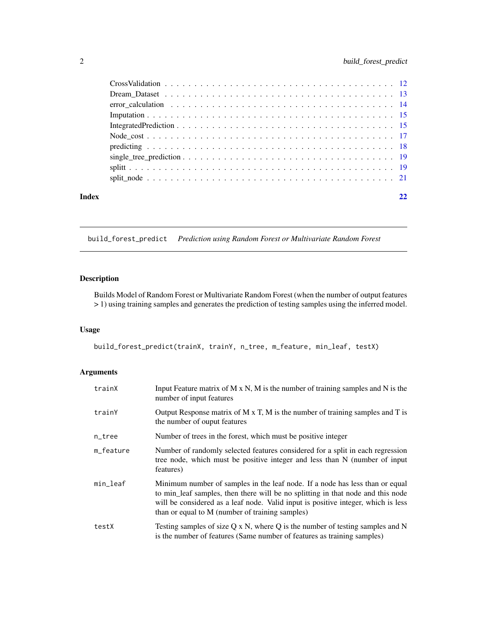<span id="page-1-0"></span>

| Index |  |
|-------|--|
|       |  |
|       |  |
|       |  |
|       |  |
|       |  |
|       |  |
|       |  |
|       |  |
|       |  |
|       |  |

build\_forest\_predict *Prediction using Random Forest or Multivariate Random Forest*

# Description

Builds Model of Random Forest or Multivariate Random Forest (when the number of output features > 1) using training samples and generates the prediction of testing samples using the inferred model.

# Usage

build\_forest\_predict(trainX, trainY, n\_tree, m\_feature, min\_leaf, testX)

# Arguments

| trainX    | Input Feature matrix of $M \times N$ , M is the number of training samples and $N$ is the<br>number of input features                                                                                                                                                                                   |
|-----------|---------------------------------------------------------------------------------------------------------------------------------------------------------------------------------------------------------------------------------------------------------------------------------------------------------|
| trainY    | Output Response matrix of $M \times T$ , M is the number of training samples and T is<br>the number of ouput features                                                                                                                                                                                   |
| n_tree    | Number of trees in the forest, which must be positive integer                                                                                                                                                                                                                                           |
| m feature | Number of randomly selected features considered for a split in each regression<br>tree node, which must be positive integer and less than N (number of input<br>features)                                                                                                                               |
| min_leaf  | Minimum number of samples in the leaf node. If a node has less than or equal<br>to min_leaf samples, then there will be no splitting in that node and this node<br>will be considered as a leaf node. Valid input is positive integer, which is less<br>than or equal to M (number of training samples) |
| testX     | Testing samples of size $Q \times N$ , where Q is the number of testing samples and N<br>is the number of features (Same number of features as training samples)                                                                                                                                        |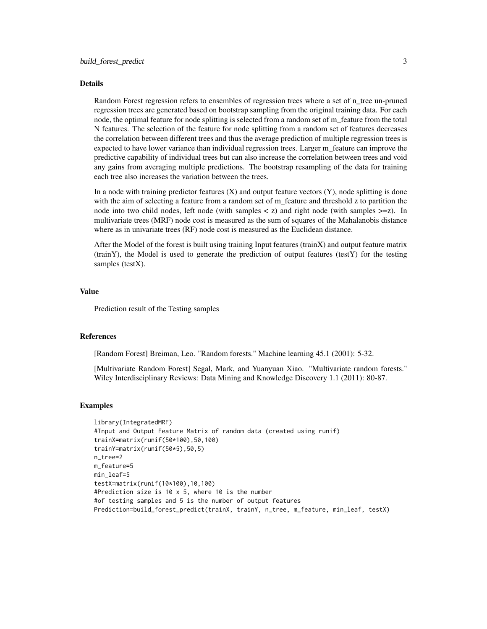#### Details

Random Forest regression refers to ensembles of regression trees where a set of n\_tree un-pruned regression trees are generated based on bootstrap sampling from the original training data. For each node, the optimal feature for node splitting is selected from a random set of m\_feature from the total N features. The selection of the feature for node splitting from a random set of features decreases the correlation between different trees and thus the average prediction of multiple regression trees is expected to have lower variance than individual regression trees. Larger m\_feature can improve the predictive capability of individual trees but can also increase the correlation between trees and void any gains from averaging multiple predictions. The bootstrap resampling of the data for training each tree also increases the variation between the trees.

In a node with training predictor features  $(X)$  and output feature vectors  $(Y)$ , node splitting is done with the aim of selecting a feature from a random set of m\_feature and threshold z to partition the node into two child nodes, left node (with samples  $\langle z \rangle$ ) and right node (with samples  $\langle z \rangle$ ). In multivariate trees (MRF) node cost is measured as the sum of squares of the Mahalanobis distance where as in univariate trees (RF) node cost is measured as the Euclidean distance.

After the Model of the forest is built using training Input features (trainX) and output feature matrix (trainY), the Model is used to generate the prediction of output features (testY) for the testing samples (testX).

### Value

Prediction result of the Testing samples

# References

[Random Forest] Breiman, Leo. "Random forests." Machine learning 45.1 (2001): 5-32.

[Multivariate Random Forest] Segal, Mark, and Yuanyuan Xiao. "Multivariate random forests." Wiley Interdisciplinary Reviews: Data Mining and Knowledge Discovery 1.1 (2011): 80-87.

# Examples

```
library(IntegratedMRF)
#Input and Output Feature Matrix of random data (created using runif)
trainX=matrix(runif(50*100),50,100)
trainY=matrix(runif(50*5),50,5)
n_tree=2
m_feature=5
min_leaf=5
testX=matrix(runif(10*100),10,100)
#Prediction size is 10 x 5, where 10 is the number
#of testing samples and 5 is the number of output features
Prediction=build_forest_predict(trainX, trainY, n_tree, m_feature, min_leaf, testX)
```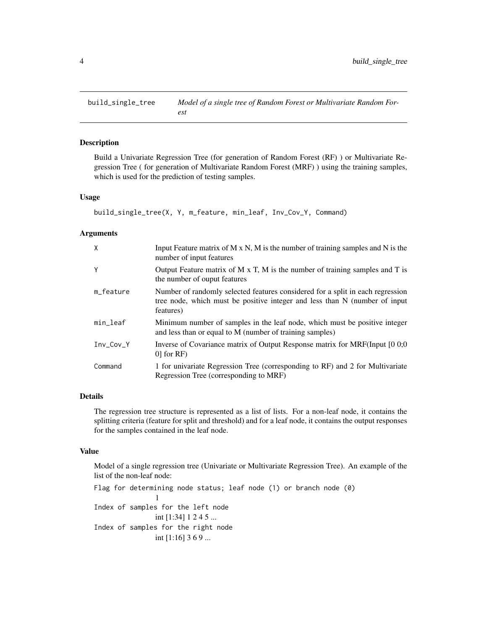<span id="page-3-0"></span>

# Description

Build a Univariate Regression Tree (for generation of Random Forest (RF) ) or Multivariate Regression Tree ( for generation of Multivariate Random Forest (MRF) ) using the training samples, which is used for the prediction of testing samples.

#### Usage

```
build_single_tree(X, Y, m_feature, min_leaf, Inv_Cov_Y, Command)
```
#### Arguments

| X           | Input Feature matrix of $M \times N$ , $M$ is the number of training samples and $N$ is the<br>number of input features                                                   |
|-------------|---------------------------------------------------------------------------------------------------------------------------------------------------------------------------|
| Y           | Output Feature matrix of $M \times T$ , M is the number of training samples and $T$ is<br>the number of ouput features                                                    |
| m_feature   | Number of randomly selected features considered for a split in each regression<br>tree node, which must be positive integer and less than N (number of input<br>features) |
| min_leaf    | Minimum number of samples in the leaf node, which must be positive integer<br>and less than or equal to M (number of training samples)                                    |
| $Inv_Cov_Y$ | Inverse of Covariance matrix of Output Response matrix for MRF(Input [0 0,0]<br>$0$ for RF)                                                                               |
| Command     | 1 for univariate Regression Tree (corresponding to RF) and 2 for Multivariate<br>Regression Tree (corresponding to MRF)                                                   |

# Details

The regression tree structure is represented as a list of lists. For a non-leaf node, it contains the splitting criteria (feature for split and threshold) and for a leaf node, it contains the output responses for the samples contained in the leaf node.

# Value

Model of a single regression tree (Univariate or Multivariate Regression Tree). An example of the list of the non-leaf node:

```
Flag for determining node status; leaf node (1) or branch node (0)
                1
Index of samples for the left node
                int [1:34] 1 2 4 5 ...
Index of samples for the right node
                int [1:16] 3 6 9 ...
```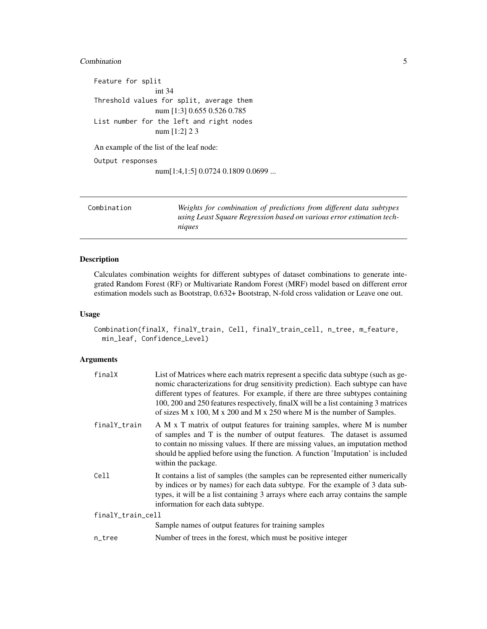#### <span id="page-4-0"></span>**Combination** 5

```
Feature for split
                int 34
Threshold values for split, average them
                num [1:3] 0.655 0.526 0.785
List number for the left and right nodes
                num [1:2] 2 3
An example of the list of the leaf node:
Output responses
```
num[1:4,1:5] 0.0724 0.1809 0.0699 ...

| Combination | Weights for combination of predictions from different data subtypes<br>using Least Square Regression based on various error estimation tech-<br>niques |
|-------------|--------------------------------------------------------------------------------------------------------------------------------------------------------|
|             |                                                                                                                                                        |

# Description

Calculates combination weights for different subtypes of dataset combinations to generate integrated Random Forest (RF) or Multivariate Random Forest (MRF) model based on different error estimation models such as Bootstrap, 0.632+ Bootstrap, N-fold cross validation or Leave one out.

#### Usage

```
Combination(finalX, finalY_train, Cell, finalY_train_cell, n_tree, m_feature,
 min_leaf, Confidence_Level)
```
# Arguments

| finalX            | List of Matrices where each matrix represent a specific data subtype (such as ge-<br>nomic characterizations for drug sensitivity prediction). Each subtype can have<br>different types of features. For example, if there are three subtypes containing<br>100, 200 and 250 features respectively, finalX will be a list containing 3 matrices<br>of sizes M x 100, M x 200 and M x 250 where M is the number of Samples. |  |
|-------------------|----------------------------------------------------------------------------------------------------------------------------------------------------------------------------------------------------------------------------------------------------------------------------------------------------------------------------------------------------------------------------------------------------------------------------|--|
| finalY_train      | A M x T matrix of output features for training samples, where M is number<br>of samples and T is the number of output features. The dataset is assumed<br>to contain no missing values. If there are missing values, an imputation method<br>should be applied before using the function. A function 'Imputation' is included<br>within the package.                                                                       |  |
| Cell              | It contains a list of samples (the samples can be represented either numerically<br>by indices or by names) for each data subtype. For the example of 3 data sub-<br>types, it will be a list containing 3 arrays where each array contains the sample<br>information for each data subtype.                                                                                                                               |  |
| finalY_train_cell |                                                                                                                                                                                                                                                                                                                                                                                                                            |  |
|                   | Sample names of output features for training samples                                                                                                                                                                                                                                                                                                                                                                       |  |
| n_tree            | Number of trees in the forest, which must be positive integer                                                                                                                                                                                                                                                                                                                                                              |  |
|                   |                                                                                                                                                                                                                                                                                                                                                                                                                            |  |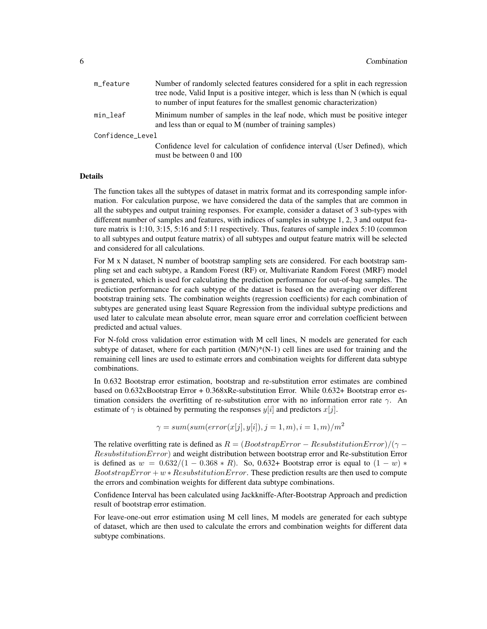| m_feature        | Number of randomly selected features considered for a split in each regression                                                         |  |
|------------------|----------------------------------------------------------------------------------------------------------------------------------------|--|
|                  | tree node, Valid Input is a positive integer, which is less than N (which is equal                                                     |  |
|                  | to number of input features for the smallest genomic characterization)                                                                 |  |
| min_leaf         | Minimum number of samples in the leaf node, which must be positive integer<br>and less than or equal to M (number of training samples) |  |
| Confidence_Level |                                                                                                                                        |  |
|                  | Confidence level for calculation of confidence interval (User Defined), which<br>must be between 0 and 100                             |  |

#### Details

The function takes all the subtypes of dataset in matrix format and its corresponding sample information. For calculation purpose, we have considered the data of the samples that are common in all the subtypes and output training responses. For example, consider a dataset of 3 sub-types with different number of samples and features, with indices of samples in subtype 1, 2, 3 and output feature matrix is 1:10, 3:15, 5:16 and 5:11 respectively. Thus, features of sample index 5:10 (common to all subtypes and output feature matrix) of all subtypes and output feature matrix will be selected and considered for all calculations.

For M x N dataset, N number of bootstrap sampling sets are considered. For each bootstrap sampling set and each subtype, a Random Forest (RF) or, Multivariate Random Forest (MRF) model is generated, which is used for calculating the prediction performance for out-of-bag samples. The prediction performance for each subtype of the dataset is based on the averaging over different bootstrap training sets. The combination weights (regression coefficients) for each combination of subtypes are generated using least Square Regression from the individual subtype predictions and used later to calculate mean absolute error, mean square error and correlation coefficient between predicted and actual values.

For N-fold cross validation error estimation with M cell lines, N models are generated for each subtype of dataset, where for each partition  $(M/N)^*(N-1)$  cell lines are used for training and the remaining cell lines are used to estimate errors and combination weights for different data subtype combinations.

In 0.632 Bootstrap error estimation, bootstrap and re-substitution error estimates are combined based on 0.632xBootstrap Error + 0.368xRe-substitution Error. While 0.632+ Bootstrap error estimation considers the overfitting of re-substitution error with no information error rate  $\gamma$ . An estimate of  $\gamma$  is obtained by permuting the responses  $y[i]$  and predictors  $x[j]$ .

$$
\gamma = sum(sum(error(x[j], y[i]), j = 1, m), i = 1, m)/m2
$$

The relative overfitting rate is defined as  $R = (BoosttrapError - ResultutionError)/(\gamma -$ ResubstitutionError) and weight distribution between bootstrap error and Re-substitution Error is defined as  $w = 0.632/(1 - 0.368 * R)$ . So, 0.632+ Bootstrap error is equal to  $(1 - w) *$ BootstrapError +  $w * ResultationError$ . These prediction results are then used to compute the errors and combination weights for different data subtype combinations.

Confidence Interval has been calculated using Jackkniffe-After-Bootstrap Approach and prediction result of bootstrap error estimation.

For leave-one-out error estimation using M cell lines, M models are generated for each subtype of dataset, which are then used to calculate the errors and combination weights for different data subtype combinations.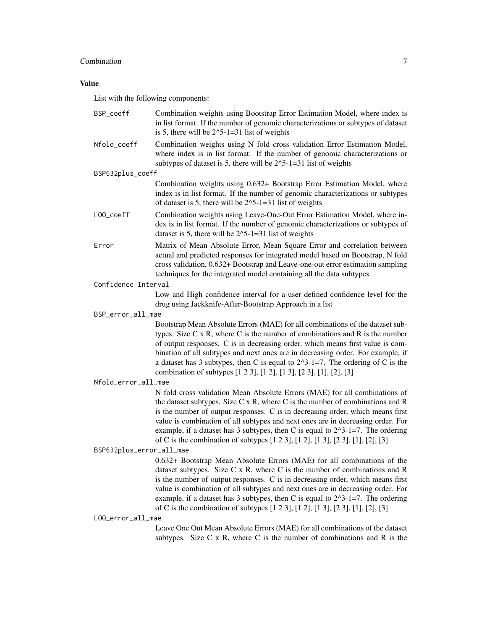# Combination 7

# Value

List with the following components:

| BSP_coeff                | Combination weights using Bootstrap Error Estimation Model, where index is<br>in list format. If the number of genomic characterizations or subtypes of dataset<br>is 5, there will be $2^{\wedge}5$ -1=31 list of weights                                                                                                                                                                                                                                                                                           |
|--------------------------|----------------------------------------------------------------------------------------------------------------------------------------------------------------------------------------------------------------------------------------------------------------------------------------------------------------------------------------------------------------------------------------------------------------------------------------------------------------------------------------------------------------------|
| Nfold_coeff              | Combination weights using N fold cross validation Error Estimation Model,<br>where index is in list format. If the number of genomic characterizations or<br>subtypes of dataset is 5, there will be $2^3-1=31$ list of weights                                                                                                                                                                                                                                                                                      |
| BSP632plus_coeff         |                                                                                                                                                                                                                                                                                                                                                                                                                                                                                                                      |
|                          | Combination weights using 0.632+ Bootstrap Error Estimation Model, where<br>index is in list format. If the number of genomic characterizations or subtypes<br>of dataset is 5, there will be $2^{\wedge}5$ -1=31 list of weights                                                                                                                                                                                                                                                                                    |
| L00_coeff                | Combination weights using Leave-One-Out Error Estimation Model, where in-<br>dex is in list format. If the number of genomic characterizations or subtypes of<br>dataset is 5, there will be $2^s-1=31$ list of weights                                                                                                                                                                                                                                                                                              |
| Error                    | Matrix of Mean Absolute Error, Mean Square Error and correlation between<br>actual and predicted responses for integrated model based on Bootstrap, N fold<br>cross validation, 0.632+ Bootstrap and Leave-one-out error estimation sampling<br>techniques for the integrated model containing all the data subtypes                                                                                                                                                                                                 |
| Confidence Interval      |                                                                                                                                                                                                                                                                                                                                                                                                                                                                                                                      |
|                          | Low and High confidence interval for a user defined confidence level for the<br>drug using Jackknife-After-Bootstrap Approach in a list                                                                                                                                                                                                                                                                                                                                                                              |
| BSP_error_all_mae        |                                                                                                                                                                                                                                                                                                                                                                                                                                                                                                                      |
|                          | Bootstrap Mean Absolute Errors (MAE) for all combinations of the dataset sub-<br>types. Size $C \times R$ , where $C$ is the number of combinations and $R$ is the number<br>of output responses. C is in decreasing order, which means first value is com-<br>bination of all subtypes and next ones are in decreasing order. For example, if<br>a dataset has 3 subtypes, then C is equal to $2^x-3-1=7$ . The ordering of C is the<br>combination of subtypes [1 2 3], [1 2], [1 3], [2 3], [1], [2], [3]         |
| Nfold_error_all_mae      |                                                                                                                                                                                                                                                                                                                                                                                                                                                                                                                      |
|                          | N fold cross validation Mean Absolute Errors (MAE) for all combinations of<br>the dataset subtypes. Size $C \times R$ , where $C$ is the number of combinations and $R$<br>is the number of output responses. C is in decreasing order, which means first<br>value is combination of all subtypes and next ones are in decreasing order. For<br>example, if a dataset has 3 subtypes, then C is equal to $2^3-1=7$ . The ordering<br>of C is the combination of subtypes [1 2 3], [1 2], [1 3], [2 3], [1], [2], [3] |
| BSP632plus_error_all_mae |                                                                                                                                                                                                                                                                                                                                                                                                                                                                                                                      |
|                          | 0.632+ Bootstrap Mean Absolute Errors (MAE) for all combinations of the<br>dataset subtypes. Size $C \times R$ , where $C$ is the number of combinations and $R$<br>is the number of output responses. C is in decreasing order, which means first<br>value is combination of all subtypes and next ones are in decreasing order. For<br>example, if a dataset has 3 subtypes, then C is equal to $2^x-3-1=7$ . The ordering<br>of C is the combination of subtypes [1 2 3], [1 2], [1 3], [2 3], [1], [2], [3]      |
| LOO_error_all_mae        |                                                                                                                                                                                                                                                                                                                                                                                                                                                                                                                      |
|                          | Leave One Out Mean Absolute Errors (MAE) for all combinations of the dataset<br>subtypes. Size $C \times R$ , where $C$ is the number of combinations and $R$ is the                                                                                                                                                                                                                                                                                                                                                 |
|                          |                                                                                                                                                                                                                                                                                                                                                                                                                                                                                                                      |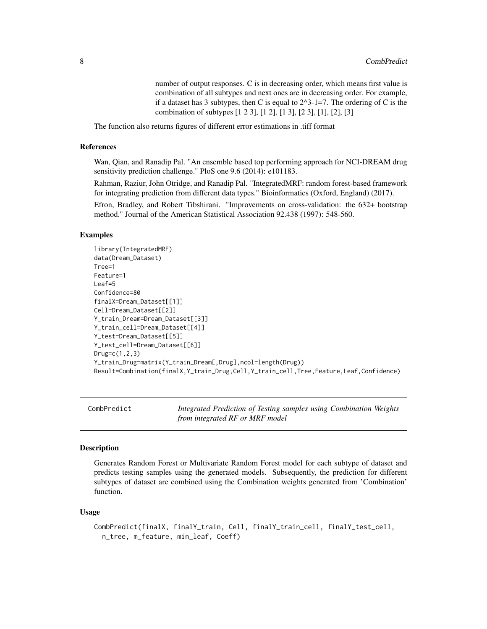number of output responses. C is in decreasing order, which means first value is combination of all subtypes and next ones are in decreasing order. For example, if a dataset has 3 subtypes, then C is equal to  $2^3-1=7$ . The ordering of C is the combination of subtypes [1 2 3], [1 2], [1 3], [2 3], [1], [2], [3]

<span id="page-7-0"></span>The function also returns figures of different error estimations in .tiff format

#### References

Wan, Qian, and Ranadip Pal. "An ensemble based top performing approach for NCI-DREAM drug sensitivity prediction challenge." PloS one 9.6 (2014): e101183.

Rahman, Raziur, John Otridge, and Ranadip Pal. "IntegratedMRF: random forest-based framework for integrating prediction from different data types." Bioinformatics (Oxford, England) (2017).

Efron, Bradley, and Robert Tibshirani. "Improvements on cross-validation: the 632+ bootstrap method." Journal of the American Statistical Association 92.438 (1997): 548-560.

# Examples

```
library(IntegratedMRF)
data(Dream_Dataset)
Tree=1
Feature=1
Leaf=5
Confidence=80
finalX=Dream_Dataset[[1]]
Cell=Dream_Dataset[[2]]
Y_train_Dream=Dream_Dataset[[3]]
Y_train_cell=Dream_Dataset[[4]]
Y_test=Dream_Dataset[[5]]
Y_test_cell=Dream_Dataset[[6]]
Drug=c(1,2,3)
Y_train_Drug=matrix(Y_train_Dream[,Drug],ncol=length(Drug))
Result=Combination(finalX,Y_train_Drug,Cell,Y_train_cell,Tree,Feature,Leaf,Confidence)
```
CombPredict *Integrated Prediction of Testing samples using Combination Weights from integrated RF or MRF model*

#### **Description**

Generates Random Forest or Multivariate Random Forest model for each subtype of dataset and predicts testing samples using the generated models. Subsequently, the prediction for different subtypes of dataset are combined using the Combination weights generated from 'Combination' function.

#### Usage

```
CombPredict(finalX, finalY_train, Cell, finalY_train_cell, finalY_test_cell,
  n_tree, m_feature, min_leaf, Coeff)
```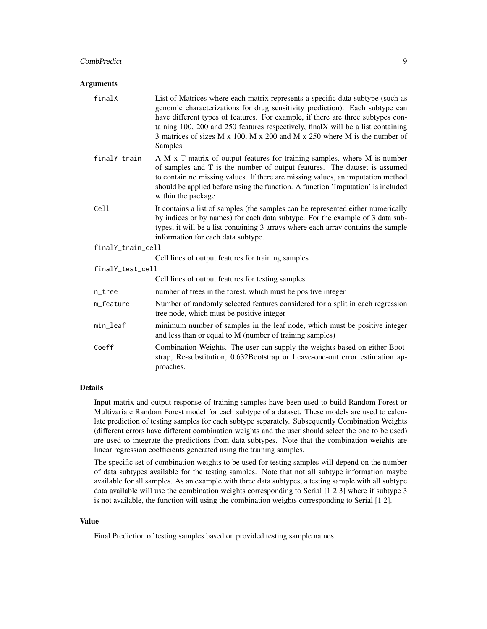#### CombPredict 9

#### **Arguments**

| finalX            | List of Matrices where each matrix represents a specific data subtype (such as<br>genomic characterizations for drug sensitivity prediction). Each subtype can<br>have different types of features. For example, if there are three subtypes con-<br>taining 100, 200 and 250 features respectively, finalX will be a list containing<br>3 matrices of sizes M x 100, M x 200 and M x 250 where M is the number of<br>Samples. |  |
|-------------------|--------------------------------------------------------------------------------------------------------------------------------------------------------------------------------------------------------------------------------------------------------------------------------------------------------------------------------------------------------------------------------------------------------------------------------|--|
| finalY_train      | A M x T matrix of output features for training samples, where M is number<br>of samples and T is the number of output features. The dataset is assumed<br>to contain no missing values. If there are missing values, an imputation method<br>should be applied before using the function. A function 'Imputation' is included<br>within the package.                                                                           |  |
| Cell              | It contains a list of samples (the samples can be represented either numerically<br>by indices or by names) for each data subtype. For the example of 3 data sub-<br>types, it will be a list containing 3 arrays where each array contains the sample<br>information for each data subtype.                                                                                                                                   |  |
| finalY_train_cell |                                                                                                                                                                                                                                                                                                                                                                                                                                |  |
|                   | Cell lines of output features for training samples                                                                                                                                                                                                                                                                                                                                                                             |  |
| finalY_test_cell  |                                                                                                                                                                                                                                                                                                                                                                                                                                |  |
|                   | Cell lines of output features for testing samples                                                                                                                                                                                                                                                                                                                                                                              |  |
| n_tree            | number of trees in the forest, which must be positive integer                                                                                                                                                                                                                                                                                                                                                                  |  |
| m_feature         | Number of randomly selected features considered for a split in each regression<br>tree node, which must be positive integer                                                                                                                                                                                                                                                                                                    |  |
| min_leaf          | minimum number of samples in the leaf node, which must be positive integer<br>and less than or equal to M (number of training samples)                                                                                                                                                                                                                                                                                         |  |
| Coeff             | Combination Weights. The user can supply the weights based on either Boot-<br>strap, Re-substitution, 0.632Bootstrap or Leave-one-out error estimation ap-<br>proaches.                                                                                                                                                                                                                                                        |  |

#### Details

Input matrix and output response of training samples have been used to build Random Forest or Multivariate Random Forest model for each subtype of a dataset. These models are used to calculate prediction of testing samples for each subtype separately. Subsequently Combination Weights (different errors have different combination weights and the user should select the one to be used) are used to integrate the predictions from data subtypes. Note that the combination weights are linear regression coefficients generated using the training samples.

The specific set of combination weights to be used for testing samples will depend on the number of data subtypes available for the testing samples. Note that not all subtype information maybe available for all samples. As an example with three data subtypes, a testing sample with all subtype data available will use the combination weights corresponding to Serial [1 2 3] where if subtype 3 is not available, the function will using the combination weights corresponding to Serial [1 2].

# Value

Final Prediction of testing samples based on provided testing sample names.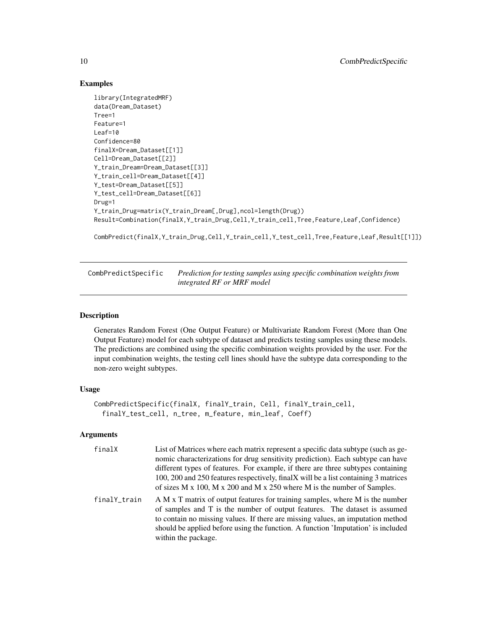# Examples

```
library(IntegratedMRF)
data(Dream_Dataset)
Tree=1
Feature=1
Leaf=10
Confidence=80
finalX=Dream_Dataset[[1]]
Cell=Dream_Dataset[[2]]
Y_train_Dream=Dream_Dataset[[3]]
Y_train_cell=Dream_Dataset[[4]]
Y_test=Dream_Dataset[[5]]
Y_test_cell=Dream_Dataset[[6]]
Drug=1
Y_train_Drug=matrix(Y_train_Dream[,Drug],ncol=length(Drug))
Result=Combination(finalX,Y_train_Drug,Cell,Y_train_cell,Tree,Feature,Leaf,Confidence)
```
CombPredict(finalX,Y\_train\_Drug,Cell,Y\_train\_cell,Y\_test\_cell,Tree,Feature,Leaf,Result[[1]])

CombPredictSpecific *Prediction for testing samples using specific combination weights from integrated RF or MRF model*

# Description

Generates Random Forest (One Output Feature) or Multivariate Random Forest (More than One Output Feature) model for each subtype of dataset and predicts testing samples using these models. The predictions are combined using the specific combination weights provided by the user. For the input combination weights, the testing cell lines should have the subtype data corresponding to the non-zero weight subtypes.

# Usage

```
CombPredictSpecific(finalX, finalY_train, Cell, finalY_train_cell,
  finalY_test_cell, n_tree, m_feature, min_leaf, Coeff)
```
#### Arguments

| finalX       | List of Matrices where each matrix represent a specific data subtype (such as ge-<br>nomic characterizations for drug sensitivity prediction). Each subtype can have<br>different types of features. For example, if there are three subtypes containing<br>100, 200 and 250 features respectively, final X will be a list containing 3 matrices<br>of sizes $M \times 100$ , $M \times 200$ and $M \times 250$ where $M$ is the number of Samples. |
|--------------|-----------------------------------------------------------------------------------------------------------------------------------------------------------------------------------------------------------------------------------------------------------------------------------------------------------------------------------------------------------------------------------------------------------------------------------------------------|
| finalY_train | A M x T matrix of output features for training samples, where M is the number<br>of samples and T is the number of output features. The dataset is assumed<br>to contain no missing values. If there are missing values, an imputation method<br>should be applied before using the function. A function 'Imputation' is included<br>within the package.                                                                                            |

<span id="page-9-0"></span>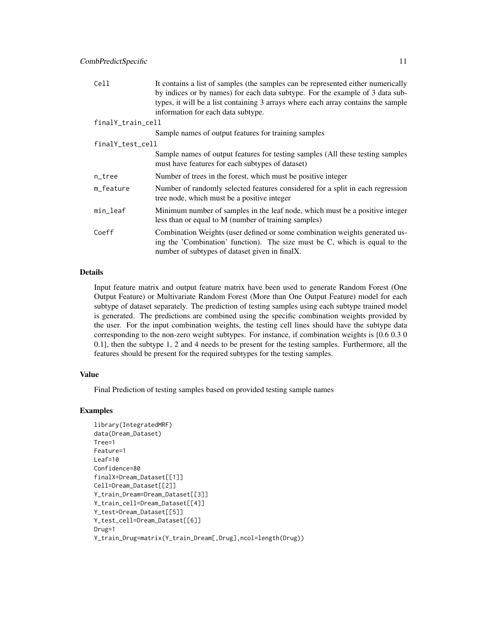| Cell              | It contains a list of samples (the samples can be represented either numerically<br>by indices or by names) for each data subtype. For the example of 3 data sub-<br>types, it will be a list containing 3 arrays where each array contains the sample<br>information for each data subtype. |  |  |
|-------------------|----------------------------------------------------------------------------------------------------------------------------------------------------------------------------------------------------------------------------------------------------------------------------------------------|--|--|
| finalY_train_cell |                                                                                                                                                                                                                                                                                              |  |  |
|                   | Sample names of output features for training samples                                                                                                                                                                                                                                         |  |  |
|                   | finalY_test_cell                                                                                                                                                                                                                                                                             |  |  |
|                   | Sample names of output features for testing samples (All these testing samples)<br>must have features for each subtypes of dataset)                                                                                                                                                          |  |  |
| n_tree            | Number of trees in the forest, which must be positive integer                                                                                                                                                                                                                                |  |  |
| m_feature         | Number of randomly selected features considered for a split in each regression<br>tree node, which must be a positive integer                                                                                                                                                                |  |  |
| min_leaf          | Minimum number of samples in the leaf node, which must be a positive integer<br>less than or equal to M (number of training samples)                                                                                                                                                         |  |  |
| Coeff             | Combination Weights (user defined or some combination weights generated us-<br>ing the 'Combination' function). The size must be C, which is equal to the<br>number of subtypes of dataset given in finalX.                                                                                  |  |  |

#### Details

Input feature matrix and output feature matrix have been used to generate Random Forest (One Output Feature) or Multivariate Random Forest (More than One Output Feature) model for each subtype of dataset separately. The prediction of testing samples using each subtype trained model is generated. The predictions are combined using the specific combination weights provided by the user. For the input combination weights, the testing cell lines should have the subtype data corresponding to the non-zero weight subtypes. For instance, if combination weights is [0.6 0.3 0 0.1], then the subtype 1, 2 and 4 needs to be present for the testing samples. Furthermore, all the features should be present for the required subtypes for the testing samples.

# Value

Final Prediction of testing samples based on provided testing sample names

# Examples

```
library(IntegratedMRF)
data(Dream_Dataset)
Tree=1
Feature=1
Leaf=10
Confidence=80
finalX=Dream_Dataset[[1]]
Cell=Dream_Dataset[[2]]
Y_train_Dream=Dream_Dataset[[3]]
Y_train_cell=Dream_Dataset[[4]]
Y_test=Dream_Dataset[[5]]
Y_test_cell=Dream_Dataset[[6]]
Drug=1
Y_train_Drug=matrix(Y_train_Dream[,Drug],ncol=length(Drug))
```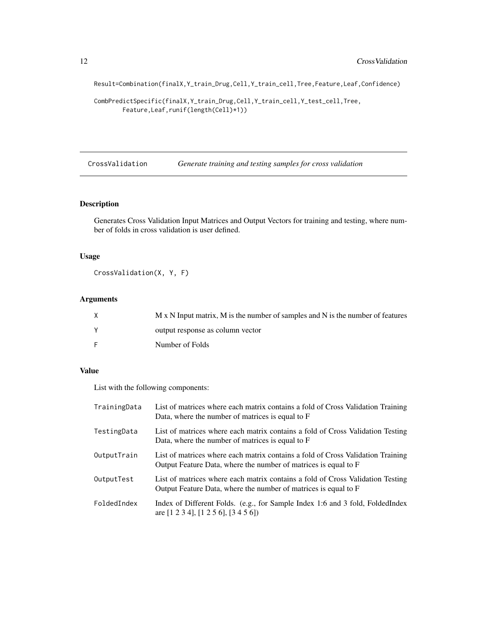Result=Combination(finalX,Y\_train\_Drug,Cell,Y\_train\_cell,Tree,Feature,Leaf,Confidence)

```
CombPredictSpecific(finalX,Y_train_Drug,Cell,Y_train_cell,Y_test_cell,Tree,
       Feature,Leaf,runif(length(Cell)*1))
```
CrossValidation *Generate training and testing samples for cross validation*

# Description

Generates Cross Validation Input Matrices and Output Vectors for training and testing, where number of folds in cross validation is user defined.

# Usage

CrossValidation(X, Y, F)

# Arguments

| M x N Input matrix, M is the number of samples and N is the number of features |
|--------------------------------------------------------------------------------|
| output response as column vector                                               |
| Number of Folds                                                                |

# Value

List with the following components:

| TrainingData | List of matrices where each matrix contains a fold of Cross Validation Training<br>Data, where the number of matrices is equal to F                |
|--------------|----------------------------------------------------------------------------------------------------------------------------------------------------|
| TestingData  | List of matrices where each matrix contains a fold of Cross Validation Testing<br>Data, where the number of matrices is equal to F                 |
| OutputTrain  | List of matrices where each matrix contains a fold of Cross Validation Training<br>Output Feature Data, where the number of matrices is equal to F |
| OutputTest   | List of matrices where each matrix contains a fold of Cross Validation Testing<br>Output Feature Data, where the number of matrices is equal to F  |
| FoldedIndex  | Index of Different Folds. (e.g., for Sample Index 1:6 and 3 fold, FoldedIndex<br>are $[1\ 2\ 3\ 4]$ , $[1\ 2\ 5\ 6]$ , $[3\ 4\ 5\ 6]$              |

<span id="page-11-0"></span>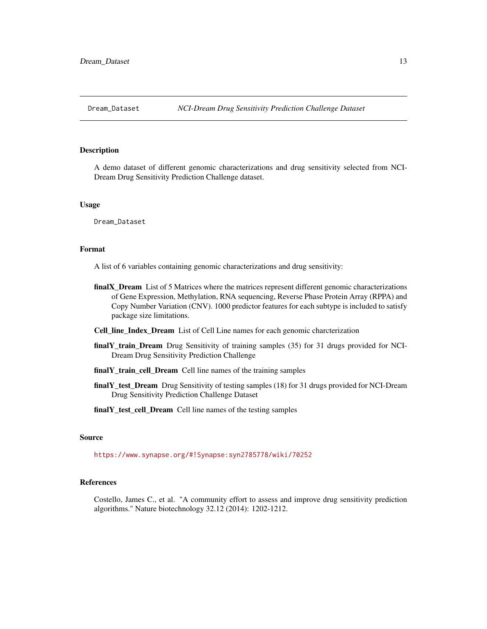<span id="page-12-0"></span>

# **Description**

A demo dataset of different genomic characterizations and drug sensitivity selected from NCI-Dream Drug Sensitivity Prediction Challenge dataset.

#### Usage

Dream\_Dataset

#### Format

A list of 6 variables containing genomic characterizations and drug sensitivity:

- finalX\_Dream List of 5 Matrices where the matrices represent different genomic characterizations of Gene Expression, Methylation, RNA sequencing, Reverse Phase Protein Array (RPPA) and Copy Number Variation (CNV). 1000 predictor features for each subtype is included to satisfy package size limitations.
- Cell\_line\_Index\_Dream List of Cell Line names for each genomic charcterization
- finalY\_train\_Dream Drug Sensitivity of training samples (35) for 31 drugs provided for NCI-Dream Drug Sensitivity Prediction Challenge
- finalY\_train\_cell\_Dream Cell line names of the training samples
- finalY\_test\_Dream Drug Sensitivity of testing samples (18) for 31 drugs provided for NCI-Dream Drug Sensitivity Prediction Challenge Dataset
- finalY\_test\_cell\_Dream Cell line names of the testing samples

# Source

<https://www.synapse.org/#!Synapse:syn2785778/wiki/70252>

#### References

Costello, James C., et al. "A community effort to assess and improve drug sensitivity prediction algorithms." Nature biotechnology 32.12 (2014): 1202-1212.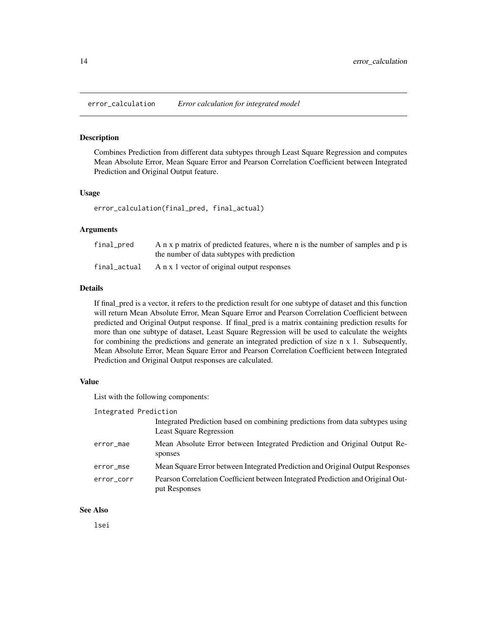<span id="page-13-0"></span>error\_calculation *Error calculation for integrated model*

#### **Description**

Combines Prediction from different data subtypes through Least Square Regression and computes Mean Absolute Error, Mean Square Error and Pearson Correlation Coefficient between Integrated Prediction and Original Output feature.

# Usage

error\_calculation(final\_pred, final\_actual)

#### Arguments

| final_pred   | A n x p matrix of predicted features, where n is the number of samples and p is |
|--------------|---------------------------------------------------------------------------------|
|              | the number of data subtypes with prediction                                     |
| final_actual | A n x 1 vector of original output responses                                     |

# Details

If final\_pred is a vector, it refers to the prediction result for one subtype of dataset and this function will return Mean Absolute Error, Mean Square Error and Pearson Correlation Coefficient between predicted and Original Output response. If final\_pred is a matrix containing prediction results for more than one subtype of dataset, Least Square Regression will be used to calculate the weights for combining the predictions and generate an integrated prediction of size n x 1. Subsequently, Mean Absolute Error, Mean Square Error and Pearson Correlation Coefficient between Integrated Prediction and Original Output responses are calculated.

# Value

List with the following components:

| Integrated Prediction                                                                                           |
|-----------------------------------------------------------------------------------------------------------------|
| Integrated Prediction based on combining predictions from data subtypes using<br><b>Least Square Regression</b> |
| Mean Absolute Error between Integrated Prediction and Original Output Re-<br>sponses                            |
| Mean Square Error between Integrated Prediction and Original Output Responses                                   |
| Pearson Correlation Coefficient between Integrated Prediction and Original Out-<br>put Responses                |
|                                                                                                                 |

# See Also

lsei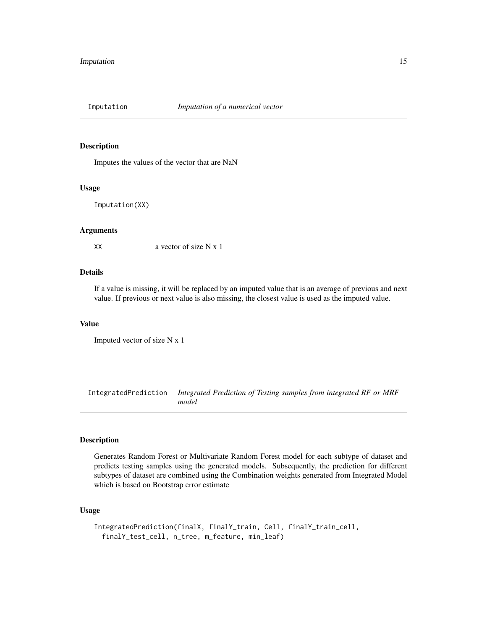<span id="page-14-0"></span>

# Description

Imputes the values of the vector that are NaN

#### Usage

Imputation(XX)

# Arguments

XX a vector of size N x 1

# Details

If a value is missing, it will be replaced by an imputed value that is an average of previous and next value. If previous or next value is also missing, the closest value is used as the imputed value.

# Value

Imputed vector of size N x 1

IntegratedPrediction *Integrated Prediction of Testing samples from integrated RF or MRF model*

# Description

Generates Random Forest or Multivariate Random Forest model for each subtype of dataset and predicts testing samples using the generated models. Subsequently, the prediction for different subtypes of dataset are combined using the Combination weights generated from Integrated Model which is based on Bootstrap error estimate

# Usage

```
IntegratedPrediction(finalX, finalY_train, Cell, finalY_train_cell,
  finalY_test_cell, n_tree, m_feature, min_leaf)
```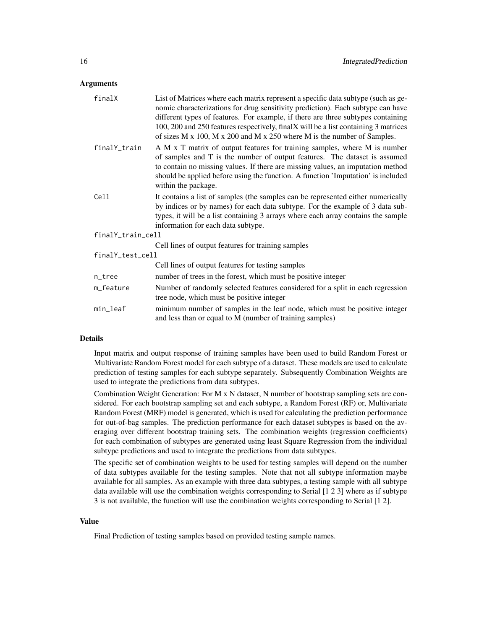## Arguments

| finalX            | List of Matrices where each matrix represent a specific data subtype (such as ge-<br>nomic characterizations for drug sensitivity prediction). Each subtype can have<br>different types of features. For example, if there are three subtypes containing<br>100, 200 and 250 features respectively, finalX will be a list containing 3 matrices<br>of sizes $M \times 100$ , $M \times 200$ and $M \times 250$ where $M$ is the number of Samples. |
|-------------------|----------------------------------------------------------------------------------------------------------------------------------------------------------------------------------------------------------------------------------------------------------------------------------------------------------------------------------------------------------------------------------------------------------------------------------------------------|
| finalY_train      | A M x T matrix of output features for training samples, where M is number<br>of samples and T is the number of output features. The dataset is assumed<br>to contain no missing values. If there are missing values, an imputation method<br>should be applied before using the function. A function 'Imputation' is included<br>within the package.                                                                                               |
| Cell              | It contains a list of samples (the samples can be represented either numerically<br>by indices or by names) for each data subtype. For the example of 3 data sub-<br>types, it will be a list containing 3 arrays where each array contains the sample<br>information for each data subtype.                                                                                                                                                       |
| finalY_train_cell |                                                                                                                                                                                                                                                                                                                                                                                                                                                    |
|                   | Cell lines of output features for training samples                                                                                                                                                                                                                                                                                                                                                                                                 |
| finalY_test_cell  |                                                                                                                                                                                                                                                                                                                                                                                                                                                    |
|                   | Cell lines of output features for testing samples                                                                                                                                                                                                                                                                                                                                                                                                  |
| n_tree            | number of trees in the forest, which must be positive integer                                                                                                                                                                                                                                                                                                                                                                                      |
| m_feature         | Number of randomly selected features considered for a split in each regression<br>tree node, which must be positive integer                                                                                                                                                                                                                                                                                                                        |
| min_leaf          | minimum number of samples in the leaf node, which must be positive integer<br>and less than or equal to M (number of training samples)                                                                                                                                                                                                                                                                                                             |

#### Details

Input matrix and output response of training samples have been used to build Random Forest or Multivariate Random Forest model for each subtype of a dataset. These models are used to calculate prediction of testing samples for each subtype separately. Subsequently Combination Weights are used to integrate the predictions from data subtypes.

Combination Weight Generation: For M x N dataset, N number of bootstrap sampling sets are considered. For each bootstrap sampling set and each subtype, a Random Forest (RF) or, Multivariate Random Forest (MRF) model is generated, which is used for calculating the prediction performance for out-of-bag samples. The prediction performance for each dataset subtypes is based on the averaging over different bootstrap training sets. The combination weights (regression coefficients) for each combination of subtypes are generated using least Square Regression from the individual subtype predictions and used to integrate the predictions from data subtypes.

The specific set of combination weights to be used for testing samples will depend on the number of data subtypes available for the testing samples. Note that not all subtype information maybe available for all samples. As an example with three data subtypes, a testing sample with all subtype data available will use the combination weights corresponding to Serial [1 2 3] where as if subtype 3 is not available, the function will use the combination weights corresponding to Serial [1 2].

#### Value

Final Prediction of testing samples based on provided testing sample names.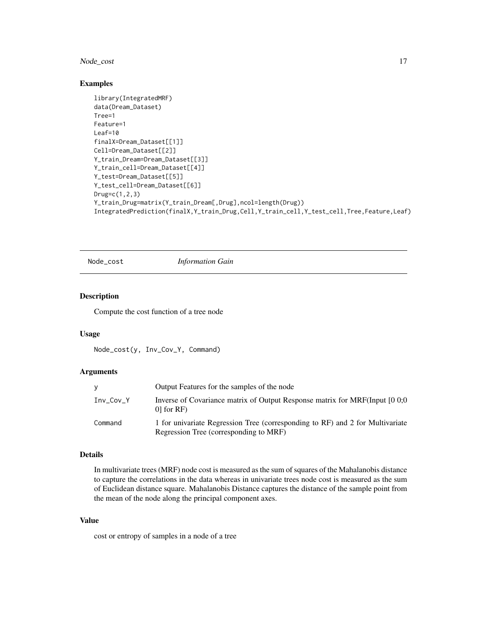# <span id="page-16-0"></span>Node\_cost 17

# Examples

```
library(IntegratedMRF)
data(Dream_Dataset)
Tree=1
Feature=1
Leaf=10
finalX=Dream_Dataset[[1]]
Cell=Dream_Dataset[[2]]
Y_train_Dream=Dream_Dataset[[3]]
Y_train_cell=Dream_Dataset[[4]]
Y_test=Dream_Dataset[[5]]
Y_test_cell=Dream_Dataset[[6]]
Drug=c(1,2,3)
Y_train_Drug=matrix(Y_train_Dream[,Drug],ncol=length(Drug))
IntegratedPrediction(finalX,Y_train_Drug,Cell,Y_train_cell,Y_test_cell,Tree,Feature,Leaf)
```
Node\_cost *Information Gain*

# Description

Compute the cost function of a tree node

#### Usage

Node\_cost(y, Inv\_Cov\_Y, Command)

# Arguments

|           | Output Features for the samples of the node                                                                             |
|-----------|-------------------------------------------------------------------------------------------------------------------------|
| Inv Cov Y | Inverse of Covariance matrix of Output Response matrix for MRF(Input [0 0;0<br>$[0]$ for RF)                            |
| Command   | 1 for univariate Regression Tree (corresponding to RF) and 2 for Multivariate<br>Regression Tree (corresponding to MRF) |

# Details

In multivariate trees (MRF) node cost is measured as the sum of squares of the Mahalanobis distance to capture the correlations in the data whereas in univariate trees node cost is measured as the sum of Euclidean distance square. Mahalanobis Distance captures the distance of the sample point from the mean of the node along the principal component axes.

# Value

cost or entropy of samples in a node of a tree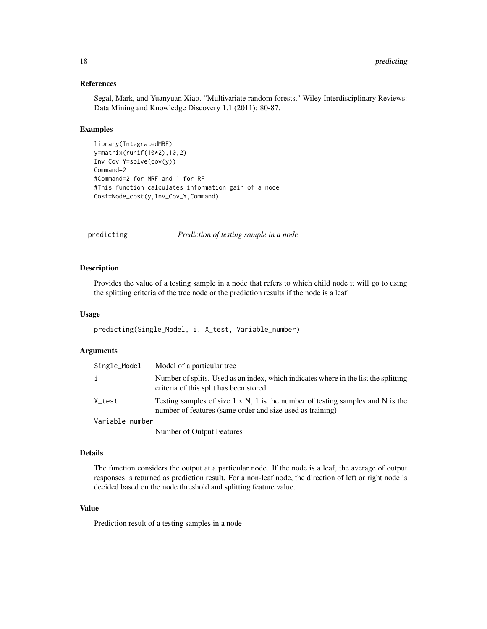# References

Segal, Mark, and Yuanyuan Xiao. "Multivariate random forests." Wiley Interdisciplinary Reviews: Data Mining and Knowledge Discovery 1.1 (2011): 80-87.

# Examples

```
library(IntegratedMRF)
y=matrix(runif(10*2),10,2)
Inv_Cov_Y=solve(cov(y))
Command=2
#Command=2 for MRF and 1 for RF
#This function calculates information gain of a node
Cost=Node_cost(y,Inv_Cov_Y,Command)
```
predicting *Prediction of testing sample in a node*

#### Description

Provides the value of a testing sample in a node that refers to which child node it will go to using the splitting criteria of the tree node or the prediction results if the node is a leaf.

#### Usage

```
predicting(Single_Model, i, X_test, Variable_number)
```
# **Arguments**

| Single_Model    | Model of a particular tree                                                                                                                          |
|-----------------|-----------------------------------------------------------------------------------------------------------------------------------------------------|
|                 | Number of splits. Used as an index, which indicates where in the list the splitting<br>criteria of this split has been stored.                      |
| X_test          | Testing samples of size $1 \times N$ , 1 is the number of testing samples and N is the<br>number of features (same order and size used as training) |
| Variable_number |                                                                                                                                                     |
|                 | Number of Output Features                                                                                                                           |

#### Details

The function considers the output at a particular node. If the node is a leaf, the average of output responses is returned as prediction result. For a non-leaf node, the direction of left or right node is decided based on the node threshold and splitting feature value.

# Value

Prediction result of a testing samples in a node

<span id="page-17-0"></span>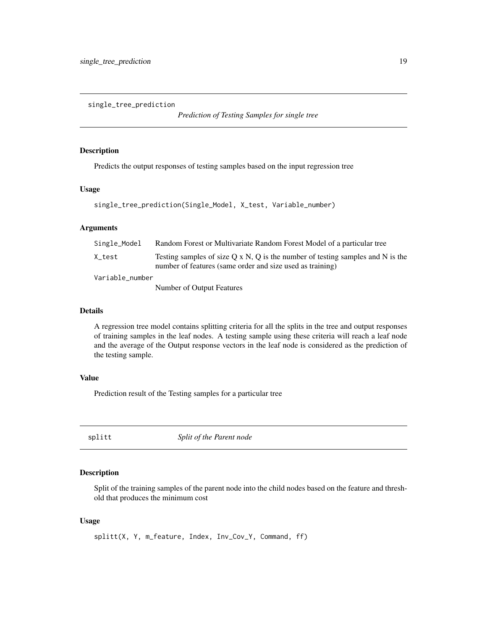<span id="page-18-0"></span>single\_tree\_prediction

*Prediction of Testing Samples for single tree*

#### Description

Predicts the output responses of testing samples based on the input regression tree

# Usage

```
single_tree_prediction(Single_Model, X_test, Variable_number)
```
# Arguments

| Single_Model    | Random Forest or Multivariate Random Forest Model of a particular tree                                                                              |
|-----------------|-----------------------------------------------------------------------------------------------------------------------------------------------------|
| X test          | Testing samples of size $O \times N$ , O is the number of testing samples and N is the<br>number of features (same order and size used as training) |
| Variable_number |                                                                                                                                                     |
|                 | Number of Output Features                                                                                                                           |

# Details

A regression tree model contains splitting criteria for all the splits in the tree and output responses of training samples in the leaf nodes. A testing sample using these criteria will reach a leaf node and the average of the Output response vectors in the leaf node is considered as the prediction of the testing sample.

# Value

Prediction result of the Testing samples for a particular tree

splitt *Split of the Parent node*

# Description

Split of the training samples of the parent node into the child nodes based on the feature and threshold that produces the minimum cost

#### Usage

splitt(X, Y, m\_feature, Index, Inv\_Cov\_Y, Command, ff)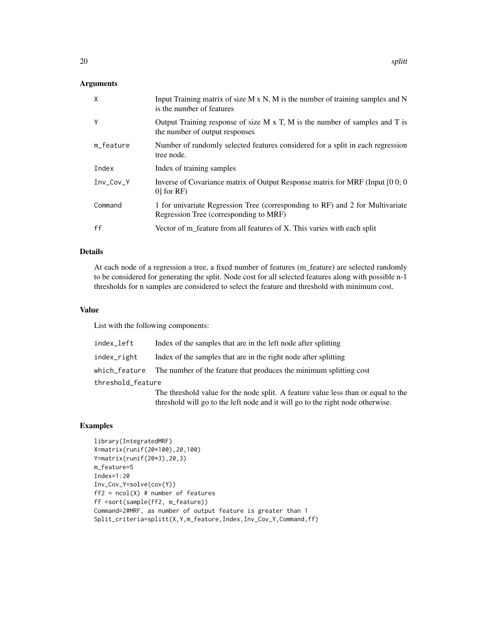# Arguments

| $\mathsf{X}$ | Input Training matrix of size $M \times N$ , M is the number of training samples and N<br>is the number of features     |
|--------------|-------------------------------------------------------------------------------------------------------------------------|
| Y            | Output Training response of size $M \times T$ , M is the number of samples and T is<br>the number of output responses   |
| m_feature    | Number of randomly selected features considered for a split in each regression<br>tree node.                            |
| Index        | Index of training samples                                                                                               |
| Inv_Cov_Y    | Inverse of Covariance matrix of Output Response matrix for MRF (Input [0 0; 0]<br>$0$ for RF)                           |
| Command      | 1 for univariate Regression Tree (corresponding to RF) and 2 for Multivariate<br>Regression Tree (corresponding to MRF) |
| ff           | Vector of m_feature from all features of X. This varies with each split                                                 |

# Details

At each node of a regression a tree, a fixed number of features (m\_feature) are selected randomly to be considered for generating the split. Node cost for all selected features along with possible n-1 thresholds for n samples are considered to select the feature and threshold with minimum cost.

# Value

List with the following components:

| index_left        | Index of the samples that are in the left node after splitting                   |
|-------------------|----------------------------------------------------------------------------------|
| index_right       | Index of the samples that are in the right node after splitting                  |
|                   | which feature The number of the feature that produces the minimum splitting cost |
| threshold_feature |                                                                                  |
|                   | The threshold value for the node split. A feeture value less than or equ         |

The threshold value for the node split. A feature value less than or equal to the threshold will go to the left node and it will go to the right node otherwise.

# Examples

```
library(IntegratedMRF)
X=matrix(runif(20*100),20,100)
Y=matrix(runif(20*3),20,3)
m_feature=5
Index=1:20
Inv_Cov_Y=solve(cov(Y))
ff2 = ncol(X) # number of features
ff =sort(sample(ff2, m_feature))
Command=2#MRF, as number of output feature is greater than 1
Split_criteria=splitt(X,Y,m_feature,Index,Inv_Cov_Y,Command,ff)
```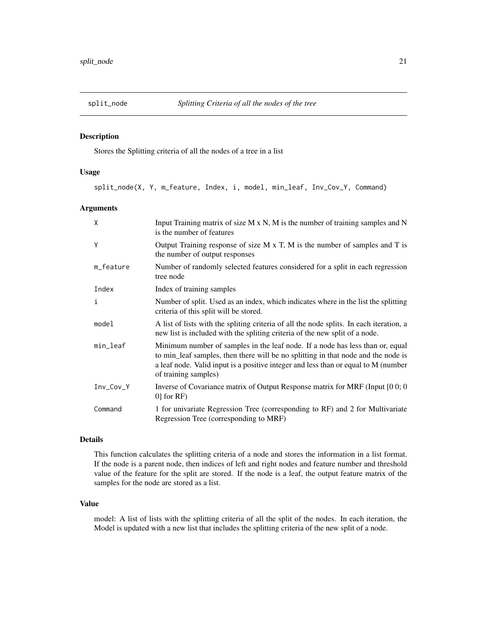<span id="page-20-0"></span>

# Description

Stores the Splitting criteria of all the nodes of a tree in a list

#### Usage

split\_node(X, Y, m\_feature, Index, i, model, min\_leaf, Inv\_Cov\_Y, Command)

# Arguments

| $\mathsf{x}$ | Input Training matrix of size $M \times N$ , M is the number of training samples and N<br>is the number of features                                                                                                                                                              |
|--------------|----------------------------------------------------------------------------------------------------------------------------------------------------------------------------------------------------------------------------------------------------------------------------------|
| Y            | Output Training response of size M x T, M is the number of samples and T is<br>the number of output responses                                                                                                                                                                    |
| m_feature    | Number of randomly selected features considered for a split in each regression<br>tree node                                                                                                                                                                                      |
| Index        | Index of training samples                                                                                                                                                                                                                                                        |
| $\mathbf{i}$ | Number of split. Used as an index, which indicates where in the list the splitting<br>criteria of this split will be stored.                                                                                                                                                     |
| model        | A list of lists with the spliting criteria of all the node splits. In each iteration, a<br>new list is included with the spliting criteria of the new split of a node.                                                                                                           |
| min_leaf     | Minimum number of samples in the leaf node. If a node has less than or, equal<br>to min_leaf samples, then there will be no splitting in that node and the node is<br>a leaf node. Valid input is a positive integer and less than or equal to M (number<br>of training samples) |
| Inv_Cov_Y    | Inverse of Covariance matrix of Output Response matrix for MRF (Input [0 0; 0<br>$0$ for RF)                                                                                                                                                                                     |
| Command      | 1 for univariate Regression Tree (corresponding to RF) and 2 for Multivariate<br>Regression Tree (corresponding to MRF)                                                                                                                                                          |

# Details

This function calculates the splitting criteria of a node and stores the information in a list format. If the node is a parent node, then indices of left and right nodes and feature number and threshold value of the feature for the split are stored. If the node is a leaf, the output feature matrix of the samples for the node are stored as a list.

# Value

model: A list of lists with the splitting criteria of all the split of the nodes. In each iteration, the Model is updated with a new list that includes the splitting criteria of the new split of a node.